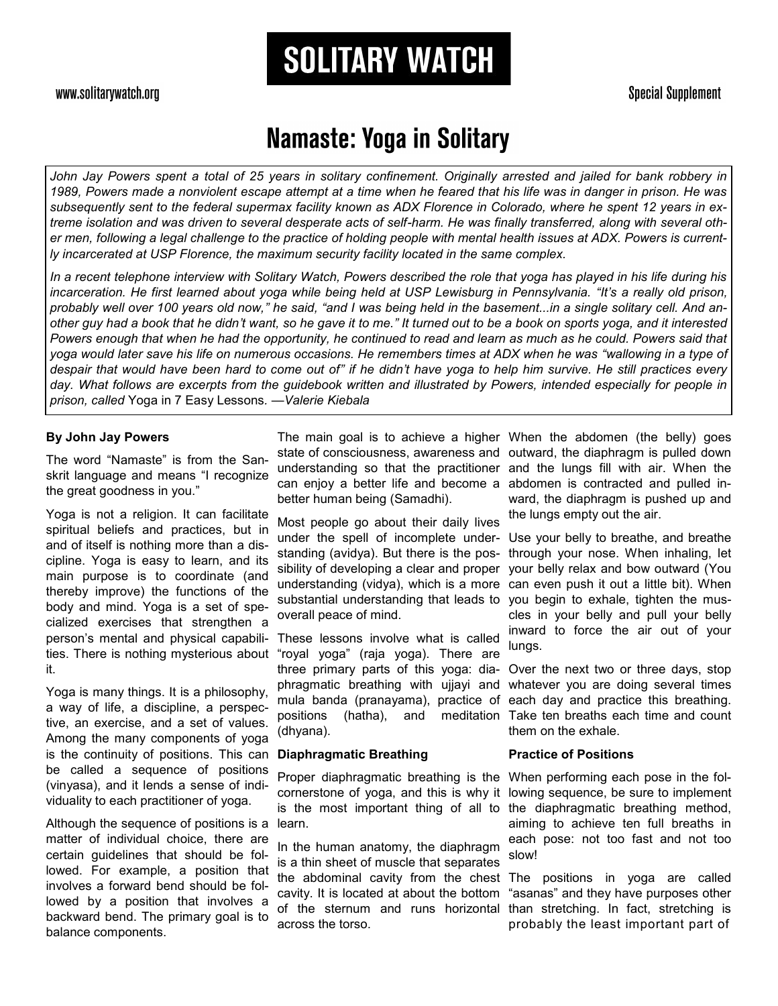### www.solitarywatch.org

#### **Special Supplement**

# **Namaste: Yoga in Solitary**

**SOLITARY WATCH** 

John Jay Powers spent a total of 25 years in solitary confinement. Originally arrested and jailed for bank robbery in *1989, Powers made a nonviolent escape attempt at a time when he feared that his life was in danger in prison. He was subsequently sent to the federal supermax facility known as ADX Florence in Colorado, where he spent 12 years in extreme isolation and was driven to several desperate acts of self-harm. He was finally transferred, along with several other men, following a legal challenge to the practice of holding people with mental health issues at ADX. Powers is currently incarcerated at USP Florence, the maximum security facility located in the same complex.*

In a recent telephone interview with Solitary Watch, Powers described the role that yoga has played in his life during his *incarceration. He first learned about yoga while being held at USP Lewisburg in Pennsylvania. "It's a really old prison,*  probably well over 100 years old now," he said, "and I was being held in the basement...in a single solitary cell. And an*other guy had a book that he didn't want, so he gave it to me." It turned out to be a book on sports yoga, and it interested Powers enough that when he had the opportunity, he continued to read and learn as much as he could. Powers said that yoga would later save his life on numerous occasions. He remembers times at ADX when he was "wallowing in a type of despair that would have been hard to come out of" if he didn't have yoga to help him survive. He still practices every day. What follows are excerpts from the guidebook written and illustrated by Powers, intended especially for people in prison, called* Yoga in 7 Easy Lessons*. —Valerie Kiebala*

#### **By John Jay Powers**

The word "Namaste" is from the Sanskrit language and means "I recognize the great goodness in you."

Yoga is not a religion. It can facilitate spiritual beliefs and practices, but in and of itself is nothing more than a discipline. Yoga is easy to learn, and its main purpose is to coordinate (and thereby improve) the functions of the body and mind. Yoga is a set of specialized exercises that strengthen a person's mental and physical capabilities. There is nothing mysterious about it.

Yoga is many things. It is a philosophy, a way of life, a discipline, a perspective, an exercise, and a set of values. Among the many components of yoga is the continuity of positions. This can be called a sequence of positions (vinyasa), and it lends a sense of individuality to each practitioner of yoga.

Although the sequence of positions is a matter of individual choice, there are certain guidelines that should be followed. For example, a position that involves a forward bend should be followed by a position that involves a backward bend. The primary goal is to balance components.

The main goal is to achieve a higher When the abdomen (the belly) goes state of consciousness, awareness and outward, the diaphragm is pulled down understanding so that the practitioner and the lungs fill with air. When the can enjoy a better life and become a better human being (Samadhi).

Most people go about their daily lives under the spell of incomplete understanding (avidya). But there is the possibility of developing a clear and proper understanding (vidya), which is a more substantial understanding that leads to overall peace of mind.

These lessons involve what is called "royal yoga" (raja yoga). There are three primary parts of this yoga: diaphragmatic breathing with ujjayi and mula banda (pranayama), practice of positions (hatha), and meditation Take ten breaths each time and count (dhyana).

#### **Diaphragmatic Breathing**

Proper diaphragmatic breathing is the When performing each pose in the follearn.

In the human anatomy, the diaphragm is a thin sheet of muscle that separates the abdominal cavity from the chest The positions in yoga are called cavity. It is located at about the bottom of the sternum and runs horizontal across the torso.

abdomen is contracted and pulled inward, the diaphragm is pushed up and the lungs empty out the air.

Use your belly to breathe, and breathe through your nose. When inhaling, let your belly relax and bow outward (You can even push it out a little bit). When you begin to exhale, tighten the muscles in your belly and pull your belly inward to force the air out of your lungs.

Over the next two or three days, stop whatever you are doing several times each day and practice this breathing. them on the exhale.

#### **Practice of Positions**

cornerstone of yoga, and this is why it lowing sequence, be sure to implement is the most important thing of all to the diaphragmatic breathing method, aiming to achieve ten full breaths in each pose: not too fast and not too slow!

> "asanas" and they have purposes other than stretching. In fact, stretching is probably the least important part of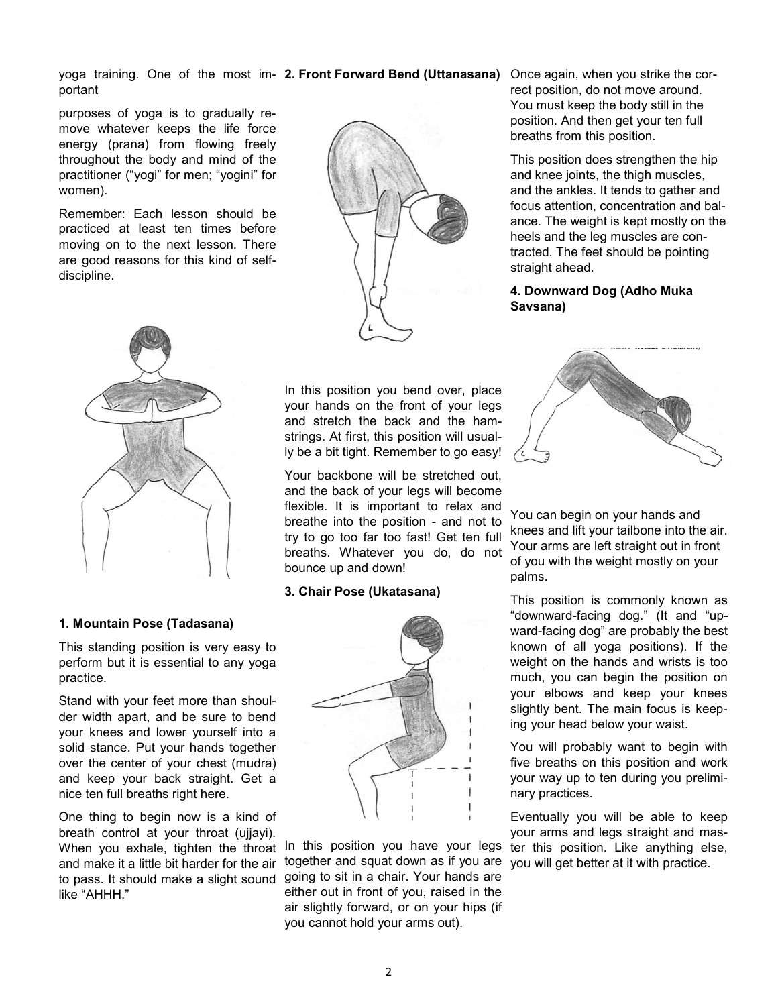yoga training. One of the most im- **2. Front Forward Bend (Uttanasana)** Once again, when you strike the corportant

purposes of yoga is to gradually remove whatever keeps the life force energy (prana) from flowing freely throughout the body and mind of the practitioner ("yogi" for men; "yogini" for women).

Remember: Each lesson should be practiced at least ten times before moving on to the next lesson. There are good reasons for this kind of selfdiscipline.



rect position, do not move around. You must keep the body still in the position. And then get your ten full breaths from this position.

This position does strengthen the hip and knee joints, the thigh muscles, and the ankles. It tends to gather and focus attention, concentration and balance. The weight is kept mostly on the heels and the leg muscles are contracted. The feet should be pointing straight ahead.

#### **4. Downward Dog (Adho Muka Savsana)**



#### **1. Mountain Pose (Tadasana)**

This standing position is very easy to perform but it is essential to any yoga practice.

Stand with your feet more than shoulder width apart, and be sure to bend your knees and lower yourself into a solid stance. Put your hands together over the center of your chest (mudra) and keep your back straight. Get a nice ten full breaths right here.

One thing to begin now is a kind of breath control at your throat (ujjayi). When you exhale, tighten the throat and make it a little bit harder for the air to pass. It should make a slight sound going to sit in a chair. Your hands are like "AHHH."

In this position you bend over, place your hands on the front of your legs and stretch the back and the hamstrings. At first, this position will usually be a bit tight. Remember to go easy!

Your backbone will be stretched out, and the back of your legs will become flexible. It is important to relax and breathe into the position - and not to try to go too far too fast! Get ten full breaths. Whatever you do, do not bounce up and down!

#### **3. Chair Pose (Ukatasana)**



In this position you have your legs together and squat down as if you are either out in front of you, raised in the air slightly forward, or on your hips (if you cannot hold your arms out).



You can begin on your hands and knees and lift your tailbone into the air. Your arms are left straight out in front of you with the weight mostly on your palms.

This position is commonly known as "downward-facing dog." (It and "upward-facing dog" are probably the best known of all yoga positions). If the weight on the hands and wrists is too much, you can begin the position on your elbows and keep your knees slightly bent. The main focus is keeping your head below your waist.

You will probably want to begin with five breaths on this position and work your way up to ten during you preliminary practices.

Eventually you will be able to keep your arms and legs straight and master this position. Like anything else, you will get better at it with practice.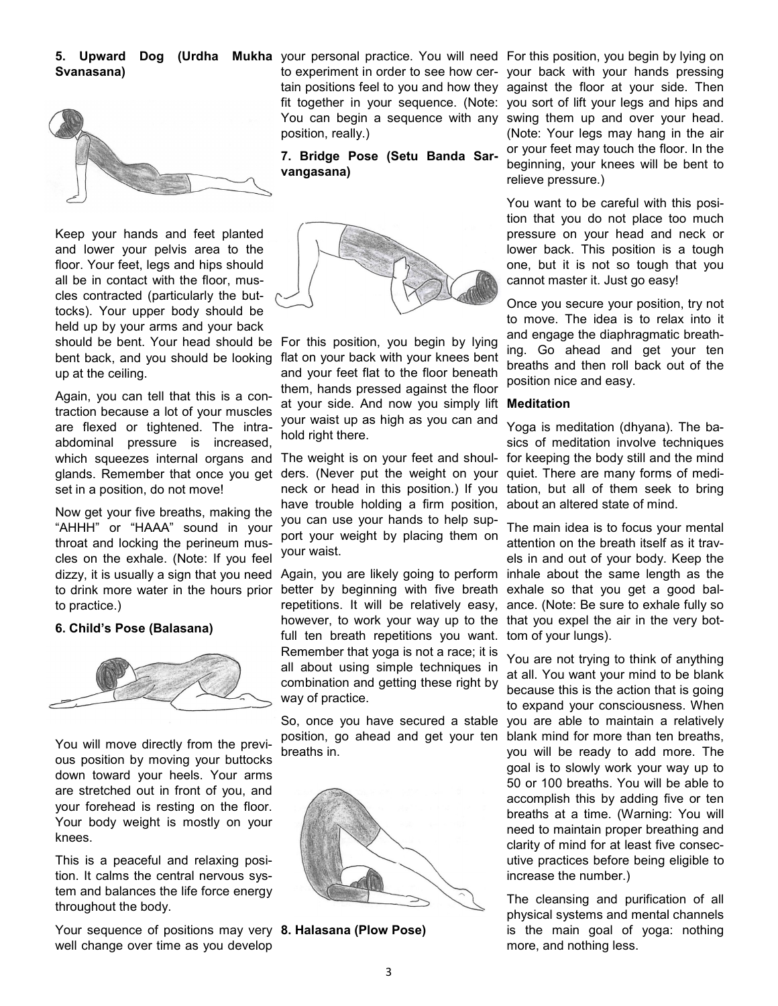# **Svanasana)**



Keep your hands and feet planted and lower your pelvis area to the floor. Your feet, legs and hips should all be in contact with the floor, muscles contracted (particularly the buttocks). Your upper body should be held up by your arms and your back should be bent. Your head should be For this position, you begin by lying bent back, and you should be looking up at the ceiling.

Again, you can tell that this is a contraction because a lot of your muscles are flexed or tightened. The intraabdominal pressure is increased, which squeezes internal organs and glands. Remember that once you get set in a position, do not move!

Now get your five breaths, making the "AHHH" or "HAAA" sound in your throat and locking the perineum muscles on the exhale. (Note: If you feel dizzy, it is usually a sign that you need to drink more water in the hours prior to practice.)

#### **6. Child's Pose (Balasana)**



You will move directly from the previous position by moving your buttocks down toward your heels. Your arms are stretched out in front of you, and your forehead is resting on the floor. Your body weight is mostly on your knees.

This is a peaceful and relaxing position. It calms the central nervous system and balances the life force energy throughout the body.

Your sequence of positions may very **8. Halasana (Plow Pose)** well change over time as you develop

position, really.)

**7. Bridge Pose (Setu Banda Sarvangasana)**



flat on your back with your knees bent and your feet flat to the floor beneath them, hands pressed against the floor at your side. And now you simply lift **Meditation** your waist up as high as you can and hold right there.

The weight is on your feet and shoulders. (Never put the weight on your neck or head in this position.) If you have trouble holding a firm position, you can use your hands to help support your weight by placing them on your waist.

Again, you are likely going to perform better by beginning with five breath repetitions. It will be relatively easy, however, to work your way up to the full ten breath repetitions you want. Remember that yoga is not a race; it is all about using simple techniques in combination and getting these right by way of practice.

So, once you have secured a stable position, go ahead and get your ten breaths in.



**5. Upward Dog (Urdha Mukha** your personal practice. You will need For this position, you begin by lying on to experiment in order to see how cer-your back with your hands pressing tain positions feel to you and how they against the floor at your side. Then fit together in your sequence. (Note: you sort of lift your legs and hips and You can begin a sequence with any swing them up and over your head. (Note: Your legs may hang in the air or your feet may touch the floor. In the beginning, your knees will be bent to relieve pressure.)

> You want to be careful with this position that you do not place too much pressure on your head and neck or lower back. This position is a tough one, but it is not so tough that you cannot master it. Just go easy!

> Once you secure your position, try not to move. The idea is to relax into it and engage the diaphragmatic breathing. Go ahead and get your ten breaths and then roll back out of the position nice and easy.

Yoga is meditation (dhyana). The basics of meditation involve techniques for keeping the body still and the mind quiet. There are many forms of meditation, but all of them seek to bring about an altered state of mind.

The main idea is to focus your mental attention on the breath itself as it travels in and out of your body. Keep the inhale about the same length as the exhale so that you get a good balance. (Note: Be sure to exhale fully so that you expel the air in the very bottom of your lungs).

You are not trying to think of anything at all. You want your mind to be blank because this is the action that is going to expand your consciousness. When you are able to maintain a relatively blank mind for more than ten breaths, you will be ready to add more. The goal is to slowly work your way up to 50 or 100 breaths. You will be able to accomplish this by adding five or ten breaths at a time. (Warning: You will need to maintain proper breathing and clarity of mind for at least five consecutive practices before being eligible to increase the number.)

The cleansing and purification of all physical systems and mental channels is the main goal of yoga: nothing more, and nothing less.